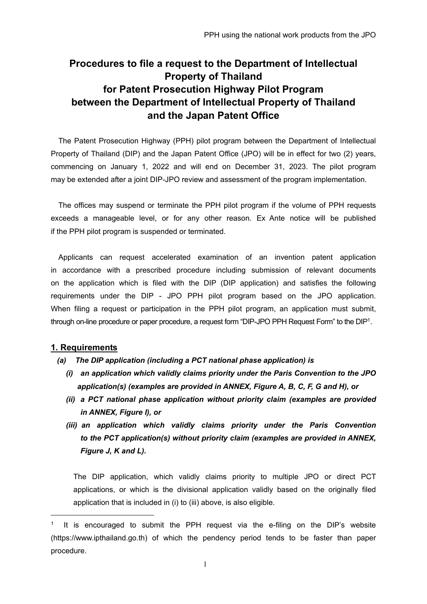# **Procedures to file a request to the Department of Intellectual Property of Thailand for Patent Prosecution Highway Pilot Program between the Department of Intellectual Property of Thailand and the Japan Patent Office**

The Patent Prosecution Highway (PPH) pilot program between the Department of Intellectual Property of Thailand (DIP) and the Japan Patent Office (JPO) will be in effect for two (2) years, commencing on January 1, 2022 and will end on December 31, 2023. The pilot program may be extended after a joint DIP-JPO review and assessment of the program implementation.

The offices may suspend or terminate the PPH pilot program if the volume of PPH requests exceeds a manageable level, or for any other reason. Ex Ante notice will be published if the PPH pilot program is suspended or terminated.

Applicants can request accelerated examination of an invention patent application in accordance with a prescribed procedure including submission of relevant documents on the application which is filed with the DIP (DIP application) and satisfies the following requirements under the DIP - JPO PPH pilot program based on the JPO application. When filing a request or participation in the PPH pilot program, an application must submit, through on-line procedure or paper procedure, a request form "DIP-JPO PPH Request Form" to the DIP1.

# **1. Requirements**

-

- *(a) The DIP application (including a PCT national phase application) is* 
	- *(i) an application which validly claims priority under the Paris Convention to the JPO application(s) (examples are provided in ANNEX, Figure A, B, C, F, G and H), or*
	- *(ii) a PCT national phase application without priority claim (examples are provided in ANNEX, Figure I), or*
	- *(iii) an application which validly claims priority under the Paris Convention to the PCT application(s) without priority claim (examples are provided in ANNEX, Figure J, K and L).*

The DIP application, which validly claims priority to multiple JPO or direct PCT applications, or which is the divisional application validly based on the originally filed application that is included in (i) to (iii) above, is also eligible.

It is encouraged to submit the PPH request via the e-filing on the DIP's website (https://www.ipthailand.go.th) of which the pendency period tends to be faster than paper procedure.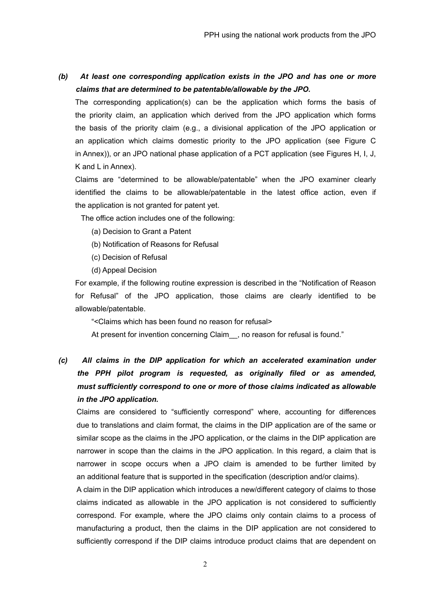*(b) At least one corresponding application exists in the JPO and has one or more claims that are determined to be patentable/allowable by the JPO.*

The corresponding application(s) can be the application which forms the basis of the priority claim, an application which derived from the JPO application which forms the basis of the priority claim (e.g., a divisional application of the JPO application or an application which claims domestic priority to the JPO application (see Figure C in Annex)), or an JPO national phase application of a PCT application (see Figures H, I, J, K and L in Annex).

Claims are "determined to be allowable/patentable" when the JPO examiner clearly identified the claims to be allowable/patentable in the latest office action, even if the application is not granted for patent yet.

The office action includes one of the following:

- (a) Decision to Grant a Patent
- (b) Notification of Reasons for Refusal
- (c) Decision of Refusal
- (d) Appeal Decision

For example, if the following routine expression is described in the "Notification of Reason for Refusal" of the JPO application, those claims are clearly identified to be allowable/patentable.

"<Claims which has been found no reason for refusal>

At present for invention concerning Claim , no reason for refusal is found."

# *(c) All claims in the DIP application for which an accelerated examination under the PPH pilot program is requested, as originally filed or as amended, must sufficiently correspond to one or more of those claims indicated as allowable in the JPO application.*

Claims are considered to "sufficiently correspond" where, accounting for differences due to translations and claim format, the claims in the DIP application are of the same or similar scope as the claims in the JPO application, or the claims in the DIP application are narrower in scope than the claims in the JPO application. In this regard, a claim that is narrower in scope occurs when a JPO claim is amended to be further limited by an additional feature that is supported in the specification (description and/or claims).

A claim in the DIP application which introduces a new/different category of claims to those claims indicated as allowable in the JPO application is not considered to sufficiently correspond. For example, where the JPO claims only contain claims to a process of manufacturing a product, then the claims in the DIP application are not considered to sufficiently correspond if the DIP claims introduce product claims that are dependent on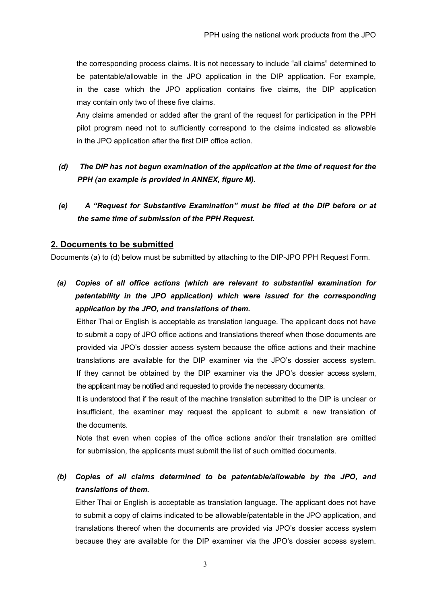the corresponding process claims. It is not necessary to include "all claims" determined to be patentable/allowable in the JPO application in the DIP application. For example, in the case which the JPO application contains five claims, the DIP application may contain only two of these five claims.

Any claims amended or added after the grant of the request for participation in the PPH pilot program need not to sufficiently correspond to the claims indicated as allowable in the JPO application after the first DIP office action.

- *(d) The DIP has not begun examination of the application at the time of request for the PPH (an example is provided in ANNEX, figure M).*
- *(e) A "Request for Substantive Examination" must be filed at the DIP before or at the same time of submission of the PPH Request.*

## **2. Documents to be submitted**

Documents (a) to (d) below must be submitted by attaching to the DIP-JPO PPH Request Form.

*(a) Copies of all office actions (which are relevant to substantial examination for patentability in the JPO application) which were issued for the corresponding application by the JPO, and translations of them.* 

Either Thai or English is acceptable as translation language. The applicant does not have to submit a copy of JPO office actions and translations thereof when those documents are provided via JPO's dossier access system because the office actions and their machine translations are available for the DIP examiner via the JPO's dossier access system. If they cannot be obtained by the DIP examiner via the JPO's dossier access system, the applicant may be notified and requested to provide the necessary documents.

It is understood that if the result of the machine translation submitted to the DIP is unclear or insufficient, the examiner may request the applicant to submit a new translation of the documents.

Note that even when copies of the office actions and/or their translation are omitted for submission, the applicants must submit the list of such omitted documents.

(b) Copies of all claims determined to be patentable/allowable by the JPO, and *translations of them.* 

Either Thai or English is acceptable as translation language. The applicant does not have to submit a copy of claims indicated to be allowable/patentable in the JPO application, and translations thereof when the documents are provided via JPO's dossier access system because they are available for the DIP examiner via the JPO's dossier access system.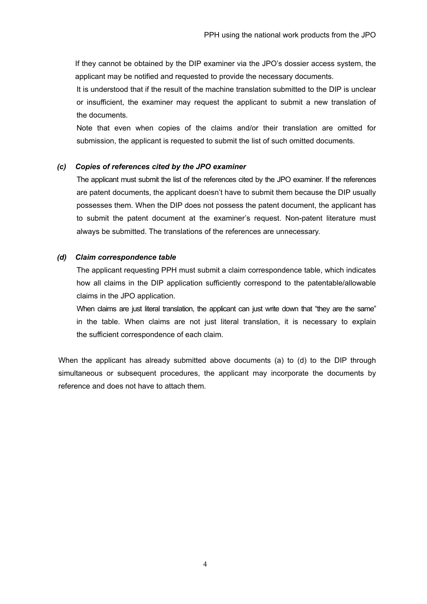If they cannot be obtained by the DIP examiner via the JPO's dossier access system, the applicant may be notified and requested to provide the necessary documents.

It is understood that if the result of the machine translation submitted to the DIP is unclear or insufficient, the examiner may request the applicant to submit a new translation of the documents.

Note that even when copies of the claims and/or their translation are omitted for submission, the applicant is requested to submit the list of such omitted documents.

## *(c) Copies of references cited by the JPO examiner*

The applicant must submit the list of the references cited by the JPO examiner. If the references are patent documents, the applicant doesn't have to submit them because the DIP usually possesses them. When the DIP does not possess the patent document, the applicant has to submit the patent document at the examiner's request. Non-patent literature must always be submitted. The translations of the references are unnecessary.

## *(d) Claim correspondence table*

The applicant requesting PPH must submit a claim correspondence table, which indicates how all claims in the DIP application sufficiently correspond to the patentable/allowable claims in the JPO application.

When claims are just literal translation, the applicant can just write down that "they are the same" in the table. When claims are not just literal translation, it is necessary to explain the sufficient correspondence of each claim.

When the applicant has already submitted above documents (a) to (d) to the DIP through simultaneous or subsequent procedures, the applicant may incorporate the documents by reference and does not have to attach them.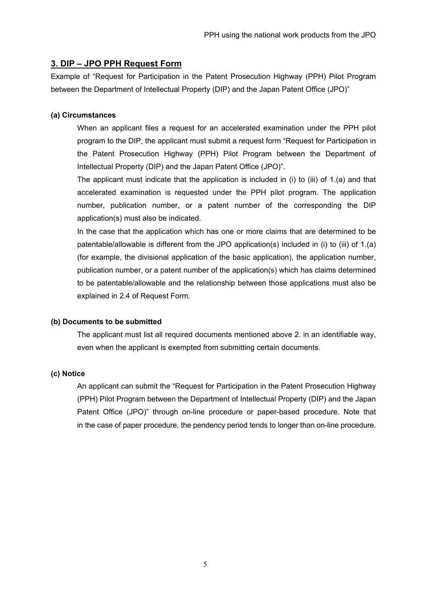## **3. DIP – JPO PPH Request Form**

Example of "Request for Participation in the Patent Prosecution Highway (PPH) Pilot Program between the Department of Intellectual Property (DIP) and the Japan Patent Office (JPO)"

#### **(a) Circumstances**

When an applicant files a request for an accelerated examination under the PPH pilot program to the DIP, the applicant must submit a request form "Request for Participation in the Patent Prosecution Highway (PPH) Pilot Program between the Department of Intellectual Property (DIP) and the Japan Patent Office (JPO)".

The applicant must indicate that the application is included in (i) to (iii) of 1.(a) and that accelerated examination is requested under the PPH pilot program. The application number, publication number, or a patent number of the corresponding the DIP application(s) must also be indicated.

In the case that the application which has one or more claims that are determined to be patentable/allowable is different from the JPO application(s) included in (i) to (iii) of 1.(a) (for example, the divisional application of the basic application), the application number, publication number, or a patent number of the application(s) which has claims determined to be patentable/allowable and the relationship between those applications must also be explained in 2.4 of Request Form.

#### **(b) Documents to be submitted**

The applicant must list all required documents mentioned above 2. in an identifiable way, even when the applicant is exempted from submitting certain documents.

## **(c) Notice**

An applicant can submit the "Request for Participation in the Patent Prosecution Highway (PPH) Pilot Program between the Department of Intellectual Property (DIP) and the Japan Patent Office (JPO)" through on-line procedure or paper-based procedure. Note that in the case of paper procedure, the pendency period tends to longer than on-line procedure.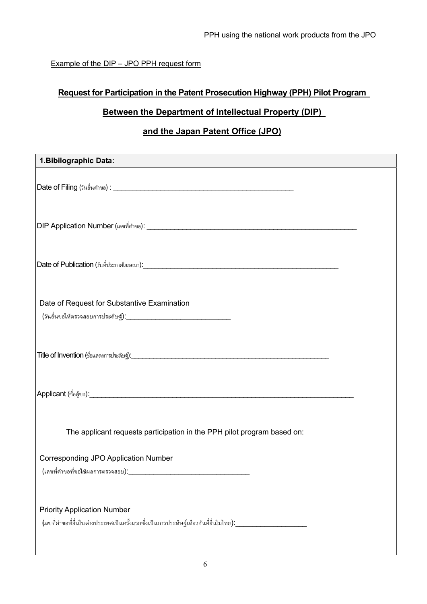Example of the DIP – JPO PPH request form

# **Request for Participation in the Patent Prosecution Highway (PPH) Pilot Program**

# **Between the Department of Intellectual Property (DIP)**

# **and the Japan Patent Office (JPO)**

| 1. Bibilographic Data:                                                                                                                               |
|------------------------------------------------------------------------------------------------------------------------------------------------------|
|                                                                                                                                                      |
|                                                                                                                                                      |
|                                                                                                                                                      |
| Date of Request for Substantive Examination                                                                                                          |
|                                                                                                                                                      |
|                                                                                                                                                      |
| The applicant requests participation in the PPH pilot program based on:                                                                              |
| <b>Corresponding JPO Application Number</b><br>(เลขที่คำขอที่ขอใช้ผลการตรวจสอบ):                                                                     |
| <b>Priority Application Number</b><br>(ลขที่คำขอที่ยื่นในต่างประเทศเป็นครั้งแรกซึ่งเป็นการประดิษฐ์เดียวกันที่ยื่นในไทย):____________________________ |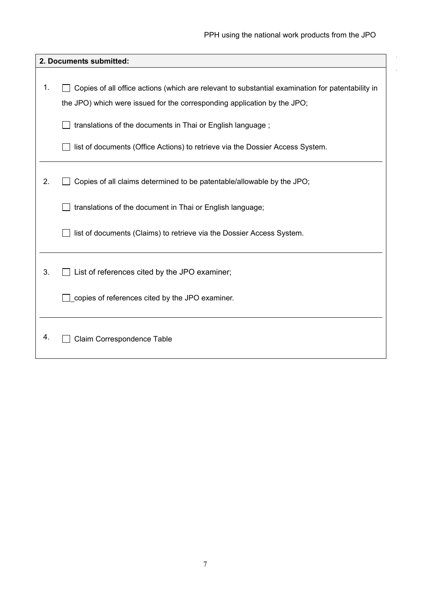$\hat{\boldsymbol{\beta}}$ 

 $\mathcal{L}$ 

|                | 2. Documents submitted:                                                                          |
|----------------|--------------------------------------------------------------------------------------------------|
|                |                                                                                                  |
| $\mathbf{1}$ . | Copies of all office actions (which are relevant to substantial examination for patentability in |
|                | the JPO) which were issued for the corresponding application by the JPO;                         |
|                | translations of the documents in Thai or English language;                                       |
|                | list of documents (Office Actions) to retrieve via the Dossier Access System.                    |
|                |                                                                                                  |
| 2.             | Copies of all claims determined to be patentable/allowable by the JPO;                           |
|                | translations of the document in Thai or English language;                                        |
|                | list of documents (Claims) to retrieve via the Dossier Access System.                            |
|                |                                                                                                  |
| 3.             | List of references cited by the JPO examiner;                                                    |
|                | copies of references cited by the JPO examiner.                                                  |
| 4.             | Claim Correspondence Table                                                                       |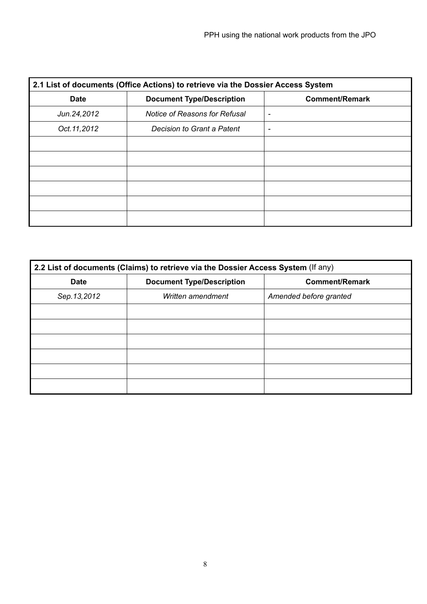| 2.1 List of documents (Office Actions) to retrieve via the Dossier Access System |                                      |                       |  |  |
|----------------------------------------------------------------------------------|--------------------------------------|-----------------------|--|--|
| <b>Date</b>                                                                      | <b>Document Type/Description</b>     | <b>Comment/Remark</b> |  |  |
| Jun. 24, 2012                                                                    | <b>Notice of Reasons for Refusal</b> | ۰                     |  |  |
| Oct. 11, 2012                                                                    | Decision to Grant a Patent           |                       |  |  |
|                                                                                  |                                      |                       |  |  |
|                                                                                  |                                      |                       |  |  |
|                                                                                  |                                      |                       |  |  |
|                                                                                  |                                      |                       |  |  |
|                                                                                  |                                      |                       |  |  |
|                                                                                  |                                      |                       |  |  |

| 2.2 List of documents (Claims) to retrieve via the Dossier Access System (If any) |                                  |                        |  |
|-----------------------------------------------------------------------------------|----------------------------------|------------------------|--|
| <b>Date</b>                                                                       | <b>Document Type/Description</b> | <b>Comment/Remark</b>  |  |
| Sep. 13, 2012                                                                     | Written amendment                | Amended before granted |  |
|                                                                                   |                                  |                        |  |
|                                                                                   |                                  |                        |  |
|                                                                                   |                                  |                        |  |
|                                                                                   |                                  |                        |  |
|                                                                                   |                                  |                        |  |
|                                                                                   |                                  |                        |  |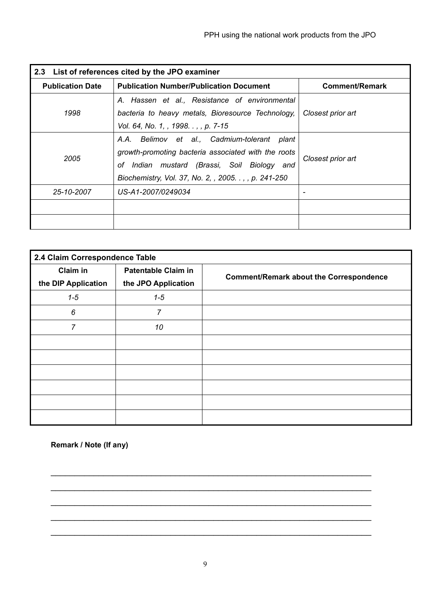| 2.3 List of references cited by the JPO examiner |                                                                                                                                                                                                                |                       |  |  |
|--------------------------------------------------|----------------------------------------------------------------------------------------------------------------------------------------------------------------------------------------------------------------|-----------------------|--|--|
| <b>Publication Date</b>                          | <b>Publication Number/Publication Document</b>                                                                                                                                                                 | <b>Comment/Remark</b> |  |  |
| 1998                                             | A. Hassen et al., Resistance of environmental<br>bacteria to heavy metals, Bioresource Technology,<br>Vol. 64, No. 1, , 1998. . , , p. 7-15                                                                    | Closest prior art     |  |  |
| 2005                                             | A.A. Belimov et al., Cadmium-tolerant<br>plant<br>growth-promoting bacteria associated with the roots<br>of Indian mustard (Brassi, Soil Biology and<br>Biochemistry, Vol. 37, No. 2, , 2005. . , , p. 241-250 | Closest prior art     |  |  |
| 25-10-2007<br>US-A1-2007/0249034                 |                                                                                                                                                                                                                |                       |  |  |
|                                                  |                                                                                                                                                                                                                |                       |  |  |

| 2.4 Claim Correspondence Table         |                                                   |                                                |  |  |
|----------------------------------------|---------------------------------------------------|------------------------------------------------|--|--|
| <b>Claim in</b><br>the DIP Application | <b>Patentable Claim in</b><br>the JPO Application | <b>Comment/Remark about the Correspondence</b> |  |  |
| $1 - 5$                                | $1 - 5$                                           |                                                |  |  |
| 6                                      | $\overline{7}$                                    |                                                |  |  |
| $\overline{7}$                         | 10                                                |                                                |  |  |
|                                        |                                                   |                                                |  |  |
|                                        |                                                   |                                                |  |  |
|                                        |                                                   |                                                |  |  |
|                                        |                                                   |                                                |  |  |
|                                        |                                                   |                                                |  |  |
|                                        |                                                   |                                                |  |  |

**Remark / Note (If any)** 

 $\_$  , and the set of the set of the set of the set of the set of the set of the set of the set of the set of the set of the set of the set of the set of the set of the set of the set of the set of the set of the set of th

 $\_$  , and the contribution of the contribution of  $\mathcal{L}_\mathcal{A}$  , and the contribution of  $\mathcal{L}_\mathcal{A}$ 

 $\_$  , and the contribution of the contribution of  $\mathcal{L}_\mathcal{A}$  , and the contribution of  $\mathcal{L}_\mathcal{A}$ 

 $\_$  , and the set of the set of the set of the set of the set of the set of the set of the set of the set of the set of the set of the set of the set of the set of the set of the set of the set of the set of the set of th

 $\_$  , and the contribution of the contribution of the contribution of the contribution of  $\mathcal{L}_1$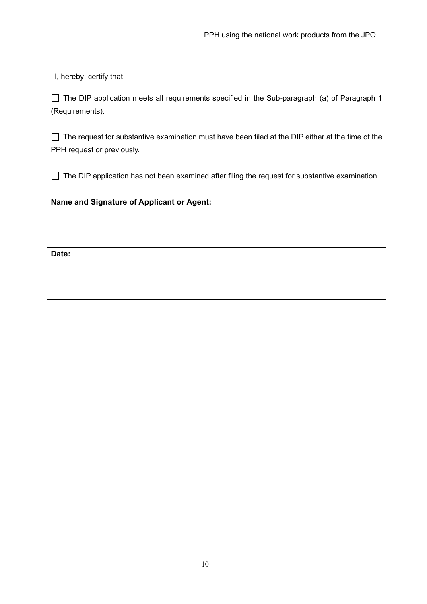## I, hereby, certify that

The DIP application meets all requirements specified in the Sub-paragraph (a) of Paragraph 1 (Requirements).

 $\Box$  The request for substantive examination must have been filed at the DIP either at the time of the PPH request or previously.

 $\Box$  The DIP application has not been examined after filing the request for substantive examination.

**Name and Signature of Applicant or Agent:** 

**Date:**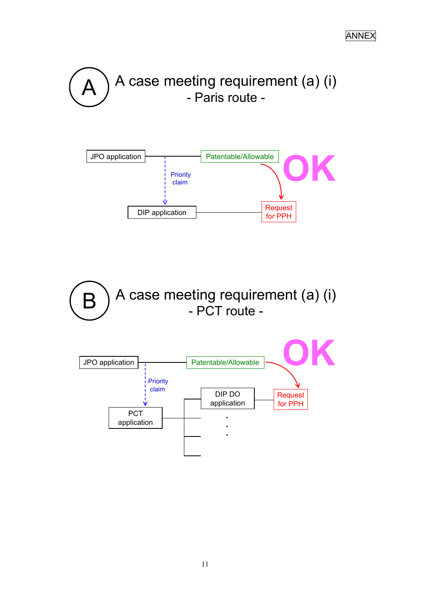



 $\mathsf{B}\,\bigg)$  A case meeting requirement (a) (i) - PCT route -

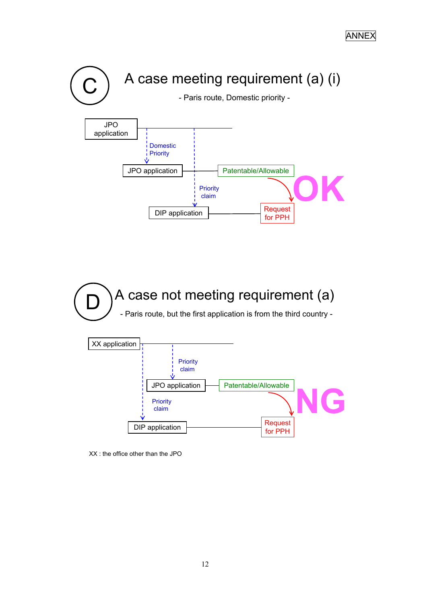

XX : the office other than the JPO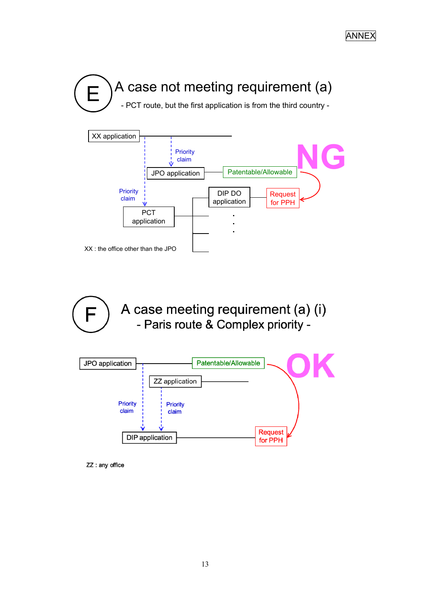



A case meeting requirement (a) (i)  $\mathbb{R}$ - Paris route & Complex priority -



ZZ : any office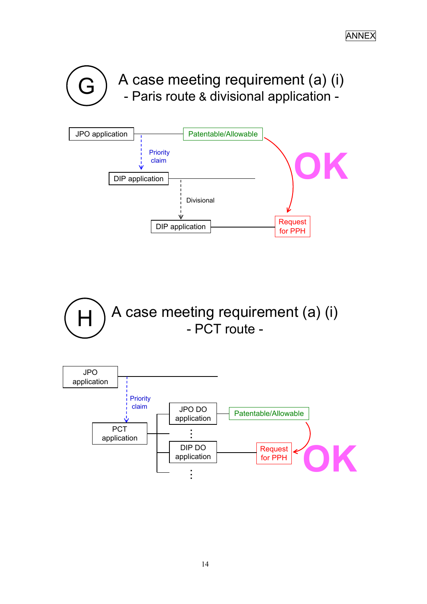



 $H$   $\bigcap$   $A$  case meeting requirement (a) (i) - PCT route -

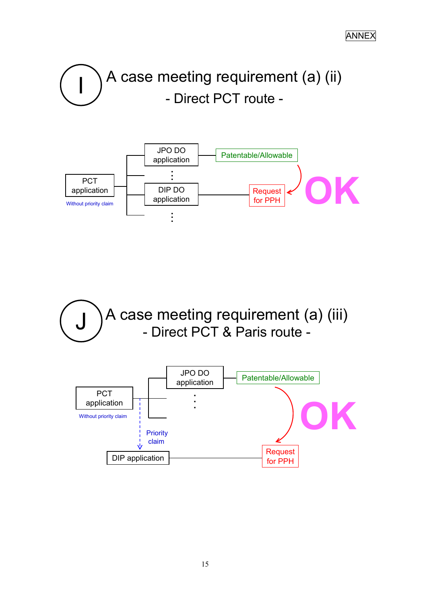A case meeting requirement (a) (ii) - Direct PCT route -



J ) A case meeting requirement (a) (iii)<br>- Direct PCT & Paris route -

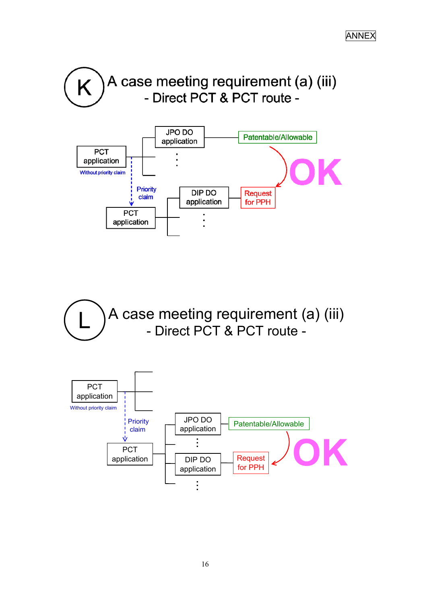



A case meeting requirement (a) (iii) - Direct PCT & PCT route -